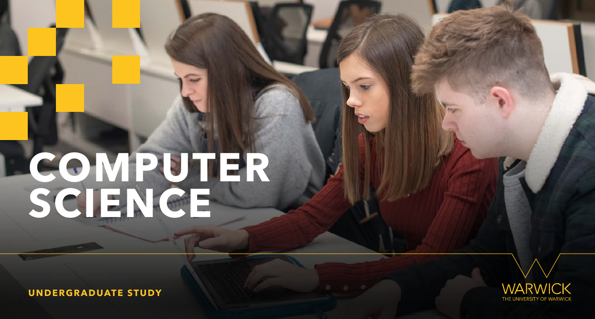**UNDERGRADUATE STUDY**



# <span id="page-0-0"></span>**COMPUTER SCIENCE**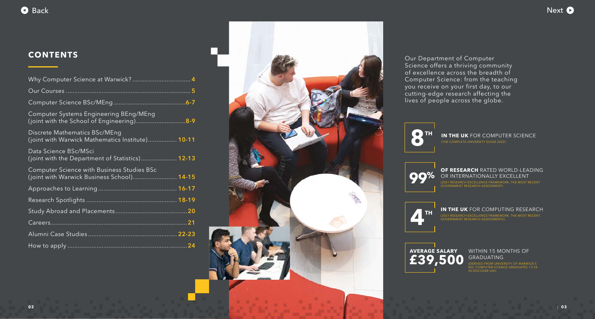Our Department of Computer Science offers a thriving community of excellence across the breadth of Computer Science: from the teaching you receive on your first day, to our cutting-edge research affecting the lives of people across the globe.

## **99%** OF RESEARCH RATED WORLD-LEADING<br>
(2021 RESEARCH EXCELLENCE FRAMEWORK, THE MOST RECENT GOVERNMENT RESEARCH ASSESSMENT) OR INTERNATIONALLY EXCELLENT





#### **WITHIN 15 MONTHS OF** GRADUATING





# **8 TH IN THE UK** FOR COMPUTER SCIENCE

#### **IN THE UK** FOR COMPUTING RESEARCH

(2021 RESEARCH EXCELLENCE FRAMEWORK, THE MOST RECENT GOVERNMENT RESEARCH ASSESSMENTS)



(DERIVED FROM UNIVERSITY OF WARWICK'S BSC COMPUTER SCIENCE GRADUATES 17/18 IN DISCOVER UNI)



| <b>Computer Systems Engineering BEng/MEng</b><br>(joint with the School of Engineering)8-9      |
|-------------------------------------------------------------------------------------------------|
| Discrete Mathematics BSc/MEng<br>(joint with Warwick Mathematics Institute) 10-11               |
| Data Science BSc/MSci<br>(joint with the Department of Statistics) 12-13                        |
| <b>Computer Science with Business Studies BSc</b><br>(joint with Warwick Business School) 14-15 |
|                                                                                                 |
|                                                                                                 |
|                                                                                                 |
|                                                                                                 |
|                                                                                                 |
|                                                                                                 |

<span id="page-1-0"></span>

## **CONTENTS**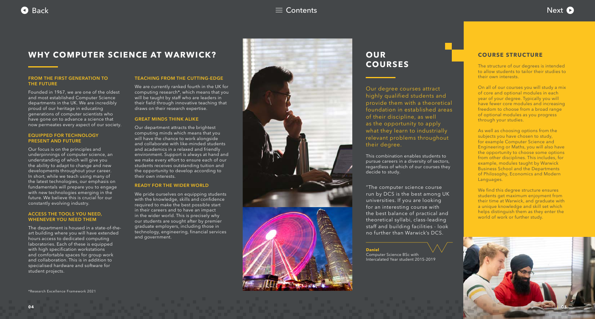<span id="page-2-0"></span>



Our degree courses attract highly qualified students and provide them with a theoretical foundation in established areas of their discipline, as well as the opportunity to apply what they learn to industrially relevant problems throughout their degree.

The structure of our degrees is intended to allow students to tailor their studies to their own interests.

This combination enables students to pursue careers in a diversity of sectors, regardless of which of our courses they decide to study.

## **OUR COURSES**

#### **COURSE STRUCTURE**

On all of our courses you will study a mix of core and optional modules in each year of your degree. Typically you will have fewer core modules and increasing freedom to choose from a broad range of optional modules as you progress through your studies.

We find this degree structure ensures students get maximum enjoyment from their time at Warwick, and graduate with a unique knowledge and skill set which helps distinguish them as they enter the world of work or further study.

As well as choosing options from the subjects you have chosen to study, for example Computer Science and Engineering or Maths, you will also have the opportunity to choose some options from other disciplines. This includes, for example, modules taught by Warwick Business School and the Departments of Philosophy, Economics and Modern Languages.



#### **FROM THE FIRST GENERATION TO THE FUTURE**

Founded in 1967, we are one of the oldest and most established Computer Science departments in the UK. We are incredibly proud of our heritage in educating generations of computer scientists who have gone on to advance a science that now permeates every aspect of our society.

#### **EQUIPPED FOR TECHNOLOGY PRESENT AND FUTURE**

We pride ourselves on equipping students with the knowledge, skills and confidence required to make the best possible start in their careers and to have an impact in the wider world. This is precisely why our students are sought after by premier graduate employers, including those in technology, engineering, financial services and government.



Our focus is on the principles and underpinnings of computer science, an understanding of which will give you the ability to adapt to change and new developments throughout your career. In short, while we teach using many of the latest technologies, our emphasis on fundamentals will prepare you to engage with new technologies emerging in the future. We believe this is crucial for our constantly evolving industry.

#### **ACCESS THE TOOLS YOU NEED, WHENEVER YOU NEED THEM**

The department is housed in a state-of-theart building where you will have extended hours access to dedicated computing laboratories. Each of these is equipped with high specification workstations and comfortable spaces for group work and collaboration. This is in addition to specialised hardware and software for student projects.

#### **TEACHING FROM THE CUTTING-EDGE**

We are currently ranked fourth in the UK for computing research\*, which means that you will be taught by staff who are leaders in their field through innovative teaching that draws on their research expertise.

#### **GREAT MINDS THINK ALIKE**

Our department attracts the brightest computing minds which means that you will have the chance to work alongside and collaborate with like-minded students and academics in a relaxed and friendly environment. Support is always at hand and we make every effort to ensure each of our students receives outstanding tuition and the opportunity to develop according to their own interests.

#### **READY FOR THE WIDER WORLD**

## **WHY COMPUTER SCIENCE AT WARWICK?**

\*Research Excellence Framework 2021

"The computer science course run by DCS is the best among UK universities. If you are looking for an interesting course with the best balance of practical and theoretical syllabi, class-leading staff and building facilities - look no further than Warwick's DCS.

#### **Daniel**

Computer Science BSc with Intercalated Year student 2015-2019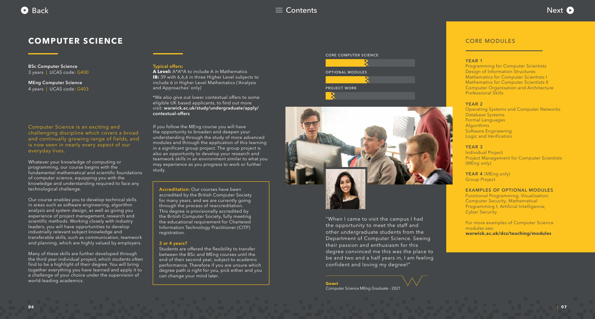## <span id="page-3-0"></span>**COMPUTER SCIENCE**

**BSc Computer Science**  3 years | UCAS code: G400

**MEng Computer Science** 4 years | UCAS code: G403

#### **Typical offers:**

**A Level:** A\*A\*A to include A in Mathematics **IB:** 39 with 6,6,6 in three Higher Level subjects to include 6 in Higher Level Mathematics ('Analysis and Approaches' only)

Computer Science is an exciting and challenging discipline which covers a broad and continually growing range of fields, and is now seen in nearly every aspect of our everyday lives.

Whatever your knowledge of computing or programming, our course begins with the fundamental mathematical and scientific foundations of computer science, equipping you with the knowledge and understanding required to face any technological challenge.

Our course enables you to develop technical skills in areas such as software engineering, algorithm analysis and system design, as well as giving you experience of project management, research and scientific methods. Working closely with industry leaders, you will have opportunities to develop industrially relevant subject knowledge and transferable skills, such as communication, teamwork and planning, which are highly valued by employers.

Many of these skills are further developed through the third year individual project, which students often find to be a highlight of their degree. You will bring together everything you have learned and apply it to a challenge of your choice under the supervision of world-leading academics.

If you follow the MEng course you will have the opportunity to broaden and deepen your understanding through the study of more advanced modules and through the application of this learning in a significant group project. The group project is also an opportunity to develop your research and teamwork skills in an environment similar to what you may experience as you progress to work or further study.

**Accreditation:** Our courses have been accredited by the British Computer Society for many years, and we are currently going through the process of reaccreditation. This degree is provisionally accredited by the British Computer Society, fully meeting the educational requirement for Chartered Information Technology Practitioner (CITP) registration.

#### **3 or 4 years?**

Students are offered the flexibility to transfer between the BSc and MEng courses until the end of their second year, subject to academic performance. Therefore if you are unsure which degree path is right for you, pick either and you can change your mind later.

"When I came to visit the campus I had the opportunity to meet the staff and other undergraduate students from the Department of Computer Science. Seeing their passion and enthusiasm for this degree convinced me this was the place to be and two and a half years in, I am feeling confident and loving my degree!"

**Gowri** Computer Science MEng Graduate - 2021

#### CORE MODULES

#### **YEAR 1**

Programming for Computer Scientists Design of Information Structures Mathematics for Computer Scientists I Mathematics for Computer Scientists II Computer Organisation and Architecture Professional Skills

#### **YEAR 2**

Operating Systems and Computer Networks Database Systems Formal Languages Algorithms Software Engineering Logic and Verification

#### **YEAR 3**

Individual Project Project Management for Computer Scientists (MEng only)

**YEAR 4** (MEng only) Group Project

#### **EXAMPLES OF OPTIONAL MODULES**

Functional Programming; Visualisation; Computer Security; Mathematical Programming I; Artificial Intelligence; Cyber Security

For more examples of Computer Science modules see: **[warwick.ac.uk/dcs/teaching/modules](https://warwick.ac.uk/fac/sci/dcs/teaching/modules/)**



CORE COMPUTER SCIENCE





| **07**

\*We also give out lower contextual offers to some eligible UK based applicants, to find out more visit: **[warwick.ac.uk/study/undergraduate/apply/](http://warwick.ac.uk/study/undergraduate/apply/contextual-offers) contextual-offers**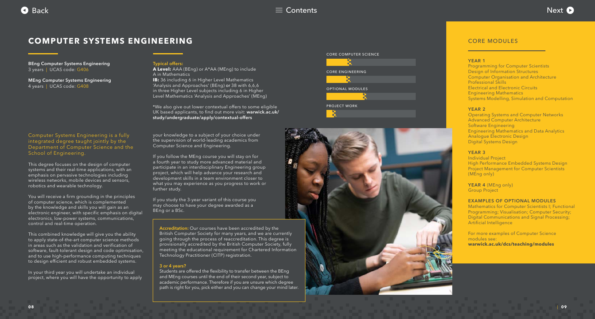## <span id="page-4-0"></span>**COMPUTER SYSTEMS ENGINEERING**

**BEng Computer Systems Engineering**  3 years | UCAS code: G406

**MEng Computer Systems Engineering**  4 years | UCAS code: G408

#### **Typical offers:**

**A Level:** AAA (BEng) or A\*AA (MEng) to include A in Mathematics **IB:** 36 including 6 in Higher Level Mathematics 'Analysis and Approaches' (BEng) or 38 with 6,6,6 in three Higher Level subjects including 6 in Higher Level Mathematics 'Analysis and Approaches' (MEng)

Computer Systems Engineering is a fully integrated degree taught jointly by the Department of Computer Science and the School of Engineering.

This degree focuses on the design of computer systems and their real-time applications, with an emphasis on pervasive technologies including wireless networks, mobile devices and sensors, robotics and wearable technology.

You will receive a firm grounding in the principles of computer science, which is complemented by the knowledge and skills you will gain as an electronic engineer, with specific emphasis on digital electronics, low-power systems, communications, control and real-time operation.

This combined knowledge will give you the ability to apply state-of-the-art computer science methods in areas such as the validation and verification of software, fault-tolerant design and code optimisation, and to use high-performance computing techniques to design efficient and robust embedded systems.

In your third year you will undertake an individual project, where you will have the opportunity to apply

your knowledge to a subject of your choice under the supervision of world-leading academics from Computer Science and Engineering.

If you follow the MEng course you will stay on for a fourth year to study more advanced material and participate in an interdisciplinary Engineering group project, which will help advance your research and development skills in a team environment closer to what you may experience as you progress to work or further study.

Students are offered the flexibility to transfer between the BEng and MEng courses until the end of their second year, subject to academic performance. Therefore if you are unsure which degree path is right for you, pick either and you can change your mind later.

If you study the 3-year variant of this course you may choose to have your degree awarded as a BEng or a BSc.

#### CORE MODULES

#### **YEAR 1**

Programming for Computer Scientists Design of Information Structures Computer Organisation and Architecture Professional Skills Electrical and Electronic Circuits Engineering Mathematics Systems Modelling, Simulation and Computation

#### **YEAR 2**

Operating Systems and Computer Networks Advanced Computer Architecture Software Engineering Engineering Mathematics and Data Analytics Analogue Electronic Design Digital Systems Design

#### **YEAR 3**

Individual Project High Performance Embedded Systems Design Project Management for Computer Scientists (MEng only)

**YEAR 4** (MEng only) Group Project

#### **EXAMPLES OF OPTIONAL MODULES**

Mathematics for Computer Scientists I; Functional Programming; Visualisation; Computer Security; Digital Communications and Signal Processing; Artificial Intelligence

For more examples of Computer Science modules see: **[warwick.ac.uk/dcs/teaching/modules](https://warwick.ac.uk/fac/sci/dcs/teaching/modules/)**







\*We also give out lower contextual offers to some eligible UK based applicants, to find out more visit: **warwick.ac.uk/ [study/undergraduate/apply/contextual-offers](http://warwick.ac.uk/study/undergraduate/apply/contextual-offers)**

**Accreditation:** Our courses have been accredited by the British Computer Society for many years, and we are currently going through the process of reaccreditation. This degree is provisionally accredited by the British Computer Society, fully meeting the educational requirement for Chartered Information Technology Practitioner (CITP) registration.

#### **3 or 4 years?**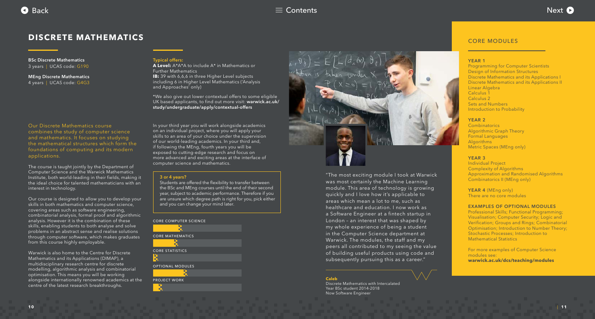## <span id="page-5-0"></span>**DISCRETE MATHEMATICS**

**BSc Discrete Mathematics**  3 years | UCAS code: G190

**MEng Discrete Mathematics**  4 years | UCAS code: G4G3

#### **Typical offers:**

**A Level:** A\*A\*A to include A\* in Mathematics or Further Mathematics **IB:** 39 with 6,6,6 in three Higher Level subjects including 6 in Higher Level Mathematics ('Analysis and Approaches' only)

Our Discrete Mathematics course combines the study of computer science and mathematics. It focuses on studying the mathematical structures which form the foundations of computing and its modern applications.

The course is taught jointly by the Department of Computer Science and the Warwick Mathematics Institute, both world-leading in their fields, making it the ideal choice for talented mathematicians with an interest in technology.

Our course is designed to allow you to develop your skills in both mathematics and computer science, covering areas such as software engineering, combinatorial analysis, formal proof and algorithmic analysis. However it is the combination of these skills, enabling students to both analyse and solve problems in an abstract sense and realise solutions through computer software, which makes graduates from this course highly employable.

Warwick is also home to the Centre for Discrete Mathematics and its Applications (DIMAP), a multidisciplinary research centre for discrete modelling, algorithmic analysis and combinatorial optimisation. This means you will be working alongside internationally renowned academics at the centre of the latest research breakthroughs.

In your third year you will work alongside academics on an individual project, where you will apply your skills to an area of your choice under the supervision of our world-leading academics. In your third and, if following the MEng, fourth years you will be exposed to cutting-edge research and focus on more advanced and exciting areas at the interface of computer science and mathematics.

#### **3 or 4 years?**

Students are offered the flexibility to transfer between the BSc and MEng courses until the end of their second year, subject to academic performance. Therefore if you are unsure which degree path is right for you, pick either and you can change your mind later.

"The most exciting module I took at Warwick was most certainly the Machine Learning module. This area of technology is growing quickly and I love how it's applicable to areas which mean a lot to me, such as healthcare and education. I now work as a Software Engineer at a fintech startup in London – an interest that was shaped by my whole experience of being a student in the Computer Science department at Warwick. The modules, the staff and my peers all contributed to my seeing the value of building useful products using code and subsequently pursuing this as a career."

#### **Caleb**

Discrete Mathematics with Intercalated Year BSc student 2014-2018 Now Software Engineer



#### CORE MODULES

#### **YEAR 1**

Programming for Computer Scientists Design of Information Structures Discrete Mathematics and its Applications I Discrete Mathematics and its Applications II Linear Algebra Calculus 1 Calculus 2 Sets and Numbers Introduction to Probability

#### **YEAR 2**

Combinatorics Algorithmic Graph Theory Formal Languages Algorithms Metric Spaces (MEng only)

#### **YEAR 3**

Individual Project Complexity of Algorithms Approximation and Randomised Algorithms Combinatorics II (MEng only)

#### **YEAR 4** (MEng only)

There are no core modules

#### **EXAMPLES OF OPTIONAL MODULES**

Professional Skills; Functional Programming; Visualisation; Computer Security; Logic and Verification; Groups and Rings; Combinatorial Optimisation; Introduction to Number Theory; Stochastic Processes; Introduction to Mathematical Statistics

For more examples of Computer Science modules see: **[warwick.ac.uk/dcs/teaching/modules](https://warwick.ac.uk/fac/sci/dcs/teaching/modules/)**



# CORE COMPUTER SCIENCE CORE MATHEMATICS CORE STATISTICS OPTIONAL MODULES PROJECT WORK



[\\*We also give out lower contextual offers to some eligible](http://warwick.ac.uk/study/undergraduate/apply/contextual-offers)  UK based applicants, to find out more visit: **warwick.ac.uk/ study/undergraduate/apply/contextual-offers**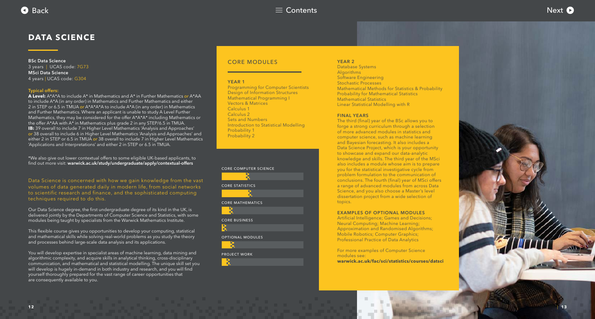<span id="page-6-0"></span>

## **DATA SCIENCE**

**BSc Data Science**  3 years | UCAS code: 7G73 **MSci Data Science** 4 years | UCAS code: G304

Data Science is concerned with how we gain knowledge from the vast volumes of data generated daily in modern life, from social networks to scientific research and finance, and the sophisticated computing techniques required to do this.

Our Data Science degree, the first undergraduate degree of its kind in the UK, is delivered jointly by the Departments of Computer Science and Statistics, with some modules being taught by specialists from the Warwick Mathematics Institute.

This flexible course gives you opportunities to develop your computing, statistical and mathematical skills while solving real-world problems as you study the theory and processes behind large-scale data analysis and its applications.

You will develop expertise in specialist areas of machine learning, data mining and algorithmic complexity, and acquire skills in analytical thinking, cross-disciplinary communication, and mathematical and statistical modelling. The unique skill set you will develop is hugely in-demand in both industry and research, and you will find yourself thoroughly prepared for the vast range of career opportunities that are consequently available to you.

#### CORE MODULES

#### **YEAR 1**

Programming for Computer Scientists Design of Information Structures Mathematical Programming I Vectors & Matrices Calculus 1 Calculus 2 Sets and Numbers Introduction to Statistical Modelling Probability 1 Probability 2

#### **YEAR 2**

Database Systems **Algorithms** Software Engineering Stochastic Processes Mathematical Methods for Statistics & Probability Probability for Mathematical Statistics Mathematical Statistics Linear Statistical Modelling with R

#### **FINAL YEARS**



The third (final) year of the BSc allows you to forge a strong curriculum through a selection of more advanced modules in statistics and computer science, such as machine learning and Bayesian forecasting. It also includes a Data Science Project, which is your opportunity to showcase and expand our data-analytic knowledge and skills. The third year of the MSci also includes a module whose aim is to prepare you for the statistical investigative cycle from problem formulation to the communication of conclusions. The fourth (final) year of MSci offers a range of advanced modules from across Data Science, and you also choose a Master's level dissertation project from a wide selection of topics.

#### **EXAMPLES OF OPTIONAL MODULES**

Artificial Intelligence; Games and Decisions; Neural Computing; Machine Learning; Approximation and Randomised Algorithms; Mobile Robotics; Computer Graphics; Professional Practice of Data Analytics

For more examples of Computer Science modules see:

**[warwick.ac.uk/fac/sci/statistics/courses/datsci](https://warwick.ac.uk/fac/sci/statistics/courses/datsci)**





#### **Typical offers:**

**A Level:** A\*A\*A to include A\* in Mathematics and A\* in Further Mathematics *or* A\*AA to include A\*A (in any order) in Mathematics and Further Mathematics and either 2 in STEP or 6.5 in TMUA *or* A\*A\*A\*A to include A\*A (in any order) in Mathematics and Further Mathematics. Where an applicant is unable to study A Level Further Mathematics, they may be considered for the offer A\*A\*A\* including Mathematics or the offer A\*AA with A\* in Mathematics plus grade 2 in any STEP/6.5 in TMUA. **IB:** 39 overall to include 7 in Higher Level Mathematics 'Analysis and Approaches' *or* 38 overall to include 6 in Higher Level Mathematics 'Analysis and Approaches' and either 2 in STEP or 6.5 in TMUA *or* 38 overall to include 7 in Higher Level Mathematics ['Applications and Interpretations' and either 2 in STEP or 6.5 in TMUA.](https://warwick.ac.uk/fac/sci/statistics/courses/offer)

\*We also give out lower contextual offers to some eligible UK-based applicants, to find out more visit: **[warwick.ac.uk/study/undergraduate/apply/contextual-offers](http://warwick.ac.uk/study/undergraduate/apply/contextual-offers)**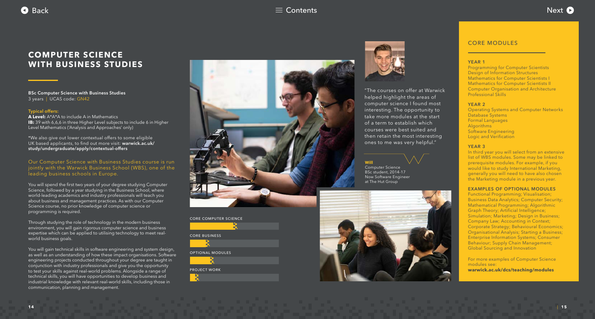<span id="page-7-0"></span>

## [Back](#page-6-0)  $\equiv$  [Contents](#page-1-0)  $\equiv$  Contents  $\equiv$  Contents  $\equiv$  Contents  $\equiv$  Contents  $\equiv$

## **COMPUTER SCIENCE WITH BUSINESS STUDIES**

**BSc Computer Science with Business Studies**  3 years | UCAS code: GN42

#### **Typical offers:**

**A Level:** A\*A\*A to include A in Mathematics **IB:** 39 with 6,6,6 in three Higher Level subjects to include 6 in Higher Level Mathematics ('Analysis and Approaches' only)

Our Computer Science with Business Studies course is run jointly with the Warwick Business School (WBS), one of the leading business schools in Europe.

You will spend the first two years of your degree studying Computer Science, followed by a year studying in the Business School, where world-leading academics and industry professionals will teach you about business and management practices. As with our Computer Science course, no prior knowledge of computer science or programming is required.

Through studying the role of technology in the modern business environment, you will gain rigorous computer science and business expertise which can be applied to utilising technology to meet realworld business goals.

You will gain technical skills in software engineering and system design, as well as an understanding of how these impact organisations. Software engineering projects conducted throughout your degree are taught in conjunction with industry professionals and give you the opportunity to test your skills against real-world problems. Alongside a range of technical skills, you will have opportunities to develop business and industrial knowledge with relevant real-world skills, including those in communication, planning and management.



#### CORE MODULES

#### **YEAR 1**

Programming for Computer Scientists Design of Information Structures Mathematics for Computer Scientists I Mathematics for Computer Scientists II Computer Organisation and Architecture Professional Skills

#### **YEAR 2**

Operating Systems and Computer Networks Database Systems Formal Languages **Algorithms** Software Engineering Logic and Verification

#### **YEAR 3**

In third year you will select from an extensive list of WBS modules. Some may be linked to prerequisite modules. For example, if you would like to study International Marketing, generally you will need to have also chosen the Marketing module in a previous year.

#### **EXAMPLES OF OPTIONAL MODULES**

Functional Programming; Visualisation; Business Data Analytics; Computer Security; Mathematical Programming; Algorithmic Graph Theory; Artificial Intelligence; Simulation; Marketing; Design in Business; Company Law; Accounting in Context; Corporate Strategy; Behavioural Economics; Organisational Analysis; Starting a Business; Enterprise Information Systems; Consumer Behaviour; Supply Chain Management; Global Sourcing and Innovation

For more examples of Computer Science modules see: **[warwick.ac.uk/dcs/teaching/modules](https://warwick.ac.uk/fac/sci/dcs/teaching/modules/)**

#### CORE COMPUTER SCIENCE





#### OPTIONAL MODULES



#### PROJECT WORK





"The courses on offer at Warwick helped highlight the areas of computer science I found most interesting. The opportunity to take more modules at the start of a term to establish which courses were best suited and then retain the most interesting ones to me was very helpful."

## **Will**

Computer Science BSc student, 2014-17 Now Software Engineer at The Hut Group



[\\*We also give out lower contextual offers to some eligible](http://warwick.ac.uk/study/undergraduate/apply/contextual-offers)  UK based applicants, to find out more visit: **warwick.ac.uk/ study/undergraduate/apply/contextual-offers**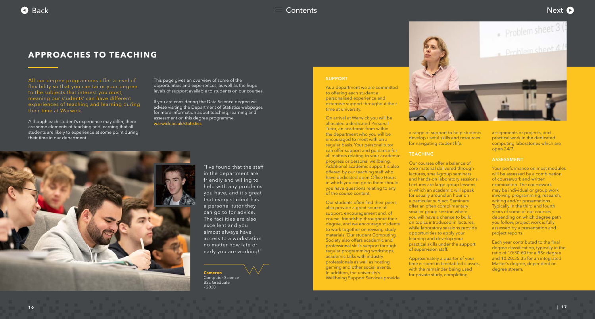<span id="page-8-0"></span>

## **APPROACHES TO TEACHING**



**Cameron** Computer Science BSc Graduate  $-2020$ 

"I've found that the staff in the department are friendly and willing to help with any problems you have, and it's great that every student has a personal tutor they can go to for advice. The facilities are also excellent and you almost always have access to a workstation no matter how late or early you are working!"

All our degree programmes offer a level of flexibility so that you can tailor your degree to the subjects that interest you most, meaning our students' can have different experiences of teaching and learning during their time at Warwick.

Although each student's experience may differ, there are some elements of teaching and learning that all students are likely to experience at some point during their time in our department.

This page gives an overview of some of the opportunities and experiences, as well as the huge levels of support available to students on our courses.

If you are considering the Data Science degree we advise visiting the Department of Statistics webpages for more information about teaching, learning and [assessment on this degree prog](https://warwick.ac.uk/fac/sci/statistics/)ramme. warwick.ac.uk/statistics



#### **SUPPORT**

As a department we are committed to offering each student a personalised experience and extensive support throughout their time at university.

On arrival at Warwick you will be allocated a dedicated Personal Tutor, an academic from within the department who you will be encouraged to meet with on a regular basis. Your personal tutor can offer support and guidance for all matters relating to your academic progress or personal wellbeing. Additional academic support is also offered by our teaching staff who have dedicated open Office Hours in which you can go to them should you have questions relating to any of the course content.

Our students often find their peers also provide a great source of support, encouragement and, of course, friendship throughout their degree, and we encourage students to work together on revising study materials. Our student Computing Society also offers academic and professional skills support through regular programming workshops, academic talks with industry professionals as well as hosting gaming and other social events. In addition, the university's Wellbeing Support Services provide



a range of support to help students develop useful skills and resources for navigating student life.

#### **TEACHING**

Our courses offer a balance of core material delivered through lectures, small-group seminars and hands-on laboratory sessions. Lectures are large group lessons in which an academic will speak for usually around an hour on a particular subject. Seminars offer an often complimentary smaller group session where you will have a chance to build on topics introduced in lectures, while laboratory sessions provide opportunities to apply your learning and develop your practical skills under the support of supervision staff.

Approximately a quarter of your time is spent in timetabled classes, with the remainder being used for private study, completing

assignments or projects, and practical work in the dedicated computing laboratories which are open 24/7.

#### **ASSESSMENT**

Your performance on most modules will be assessed by a combination of coursework and written examination. The coursework may be individual or group work involving programming, research, writing and/or presentations. Typically in the third and fourth years of some of our courses, depending on which degree path you follow, project work is fully assessed by a presentation and project reports.

Each year contributed to the final degree classification, typically in the ratio of 10:30:60 for a BSc degree and 10:20:35:35 for an integrated Master's degree, dependent on degree stream.

| **17**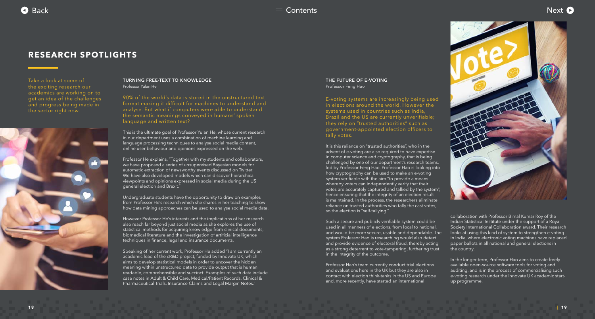<span id="page-9-0"></span>

## **RESEARCH SPOTLIGHTS**





#### **THE FUTURE OF E-VOTING** Professor Feng Hao

E-voting systems are increasingly being used in elections around the world. However the systems used in countries such as India, Brazil and the US are currently unverifiable; they rely on "trusted authorities" such as government-appointed election officers to tally votes.

It is this reliance on "trusted authorities", who in the advent of e-voting are also required to have expertise in computer science and cryptography, that is being challenged by one of our department's research teams, led by Professor Feng Hao. Professor Hao is looking into how cryptography can be used to make an e-voting system verifiable with the aim "to provide a means whereby voters can independently verify that their votes are accurately captured and tallied by the system", hence ensuring that the integrity of an election result is maintained. In the process, the researchers eliminate reliance on trusted authorities who tally the cast votes, so the election is "self-tallying."

Such a secure and publicly verifiable system could be used in all manners of elections, from local to national, and would be more secure, usable and dependable. The system Professor Hao is researching would also detect and provide evidence of electoral fraud, thereby acting as a strong deterrent to vote-tampering, furthering trust in the integrity of the outcome.

Professor Hao's team currently conduct trial elections and evaluations here in the UK but they are also in contact with election think-tanks in the US and Europe and, more recently, have started an international

collaboration with Professor Bimal Kumar Roy of the Indian Statistical Institute under the support of a Royal Society International Collaboration award. Their research looks at using this kind of system to strengthen e-voting in India, where electronic voting machines have replaced paper ballots in all national and general elections in the country.

In the longer term, Professor Hao aims to create freely available open-source software tools for voting and auditing, and is in the process of commercialising such e-voting research under the Innovate UK academic startup programme.

#### **TURNING FREE-TEXT TO KNOWLEDGE** Professor Yulan He

90% of the world's data is stored in the unstructured text format making it difficult for machines to understand and analyse. But what if computers were able to understand the semantic meanings conveyed in humans' spoken language and written text?

This is the ultimate goal of Professor Yulan He, whose current research in our department uses a combination of machine learning and language processing techniques to analyse social media content, online user behaviour and opinions expressed on the web.

Professor He explains, "Together with my students and collaborators, we have proposed a series of unsupervised Bayesian models for automatic extraction of newsworthy events discussed on Twitter. We have also developed models which can discover hierarchical viewpoints and opinions expressed in social media during the US general election and Brexit."

Undergraduate students have the opportunity to draw on examples from Professor He's research which she shares in her teaching to show how data mining approaches can be used to analyse social media data.

However Professor He's interests and the implications of her research also reach far beyond just social media as she explores the use of statistical methods for acquiring knowledge from clinical documents, biomedical literature and the investigation of artificial intelligence techniques in finance, legal and insurance documents.

Speaking of her current work, Professor He added "I am currently an academic lead of the cR&D project, funded by Innovate UK, which aims to develop statistical models in order to uncover the hidden meaning within unstructured data to provide output that is human readable, comprehensible and succinct. Examples of such data include case notes in Adult & Child Care, Medical/Patient Records, Clinical & Pharmaceutical Trials, Insurance Claims and Legal Margin Notes."

Take a look at some of the exciting research our academics are working on to get an idea of the challenges and progress being made in the sector right now.

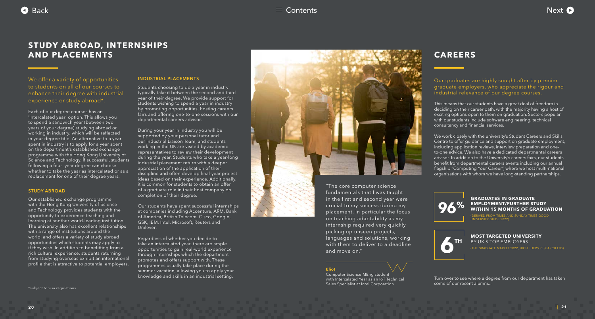<span id="page-10-0"></span>



## **CAREERS**

Our graduates are highly sought after by premier graduate employers, who appreciate the rigour and industrial relevance of our degree courses.

This means that our students have a great deal of freedom in deciding on their career path, with the majority having a host of exciting options open to them on graduation. Sectors popular with our students include software engineering, technical consultancy and financial services.

> **MOST TARGETED UNIVERSITY** BY UK'S TOP EMPLOYERS

We work closely with the university's Student Careers and Skills Centre to offer guidance and support on graduate employment, including application reviews, interview preparation and oneto-one advice. We also have a dedicated departmental careers advisor. In addition to the University's careers fairs, our students benefit from departmental careers events including our annual flagship "Computing Your Career", where we host multi-national organisations with whom we have long-standing partnerships.

We offer a variety of opportunities to students on all of our courses to enhance their degree with industrial experience or study abroad\*.





(THE GRADUATE MARKET 2022, HIGH FLIERS RESEARCH LTD)

#### **GRADUATES IN GRADUATE EMPLOYMENT/FURTHER STUDY WITHIN 15 MONTHS OF GRADUATION**

(DERIVED FROM TIMES AND SUNDAY TIMES GOOD UNIVERSITY GUIDE 2022)

Turn over to see where a degree from our department has taken some of our recent alumni...

| **21**

## **STUDY ABROAD, INTERNSHIPS AND PLACEMENTS**

Each of our degree courses has an 'intercalated year' option. This allows you to spend a sandwich year (between two years of your degree) studying abroad or working in industry, which will be reflected in your degree title. An alternative to a year spent in industry is to apply for a year spent on the department's established exchange programme with the Hong Kong University of Science and Technology. If successful, students following a four year degree can choose whether to take the year as intercalated or as a replacement for one of their degree years.

#### **STUDY ABROAD**

Our established exchange programme with the Hong Kong University of Science and Technology provides students with the opportunity to experience teaching and learning at another world-leading institution. The university also has excellent relationships with a range of institutions around the world, and offers a variety of study abroad opportunities which students may apply to if they wish. In addition to benefitting from a rich cultural experience, students returning from studying overseas exhibit an international profile that is attractive to potential employers.

#### **INDUSTRIAL PLACEMENTS**

Students choosing to do a year in industry typically take it between the second and third year of their degree. We provide support for students wishing to spend a year in industry by promoting opportunities, hosting careers fairs and offering one-to-one sessions with our departmental careers advisor.

During your year in industry you will be supported by your personal tutor and our Industrial Liaison Team, and students working in the UK are visited by academic representatives to review their development during the year. Students who take a year-long industrial placement return with a deeper appreciation of the application of their discipline and often develop final-year project ideas based on their experience. Additionally, it is common for students to obtain an offer of a graduate role in their host company on completion of their degree.

Our students have spent successful internships at companies including Accenture, ARM, Bank of America, British Telecom, Cisco, Google, GSK, IBM, Intel, Microsoft, Reuters and Unilever.

Regardless of whether you decide to take an intercalated year, there are ample opportunities to gain real-world experience through internships which the department promotes and offers support with. These programmes usually take place during the summer vacation, allowing you to apply your knowledge and skills in an industrial setting.

\*subject to visa regulations



fundamentals that I was taught in the first and second year were crucial to my success during my placement. In particular the focus on teaching adaptability as my internship required very quickly picking up unseen projects, languages and solutions, working with them to deliver to a deadline and move on."

#### **Eliot**

Computer Science MEng student with Intercalated Year as an IoT Technical Sales Specialist at Intel Corporation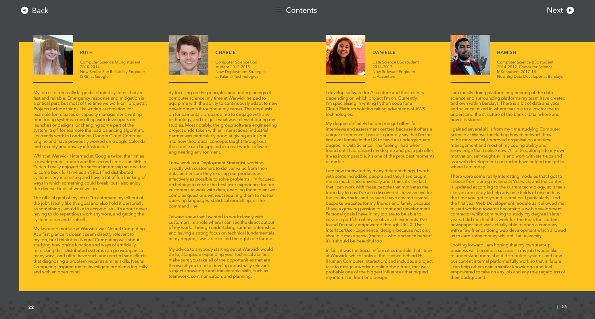## <span id="page-11-0"></span>[Back](#page-10-0)  $\equiv$  [Contents](#page-1-0)  $\equiv$  Contents  $\equiv$  Contents  $\equiv$  Contents  $\equiv$  Contents  $\equiv$







By focusing on the principles and underpinnings of computer science, my time at Warwick helped to equip me with the ability to continuously adapt to new developments throughout my career. The emphasis on fundamentals prepared me to engage with any technology, and not just what was relevant during my studies. Most notably, the group software engineering project undertaken with an international industrial partner was particularly good at giving an insight into how theoretical concepts taught throughout the course can be applied in a real-world software engineering environment.

I now work as a Deployment Strategist, working directly with customers to deliver value from their data, and ensure they're using our products as effectively as possible to solve problems. I'm focused on helping to create the best user experience for our customers to work with data, enabling them to answer complex questions without requiring them to master querying languages, statistical modelling, or the command line.

I always knew that I wanted to work closely with customers, in a role where I can see the direct output of my work. Through undertaking summer internships and having a strong focus on technical fundamentals in my degree, I was able to find the right role for me.

My advice to anybody starting out at Warwick would be to, alongside expanding your technical abilities, make sure you take all of the opportunities that are thrown at you to help develop industrially relevant subject knowledge and transferable skills, such as teamwork, communication, and planning.



#### **CHARLIE**

Computer Science BSc student 2012-2015 Now Deployment Strategist at Palantir Technologies

> I am mostly doing platform engineering of the data science and surrounding platforms my team have created and own within Barclays. There is a bit of data analytics and science mixed in where feasible to allow for me to understand the structure of the bank's data, where and how it is stored.

> I gained several skills from my time studying Computer Science at Warwick including how to network, how to be more social, improved organisation and time management and most of my coding ability and knowledge that I utilise now. All of this, alongside my own motivation, self-taught skills and work with start-ups and as a web development contractor have helped me get to where I am today.

The official goal of my job is "to automate myself out of the job". I really like this goal and also hold it personally as something I would like to accomplish - it's about never having to do repetitious work anymore, and getting the system to run and fix itself.

There were some really interesting modules that I got to choose from during my time at Warwick, and the content is updated according to the current technology, so it feels like you are ready to help advance fields of research by the time you get to your dissertation. I particularly liked the first year Web Development module as it allowed me to start working towards becoming a web development contractor whilst continuing to study my degree in later years. I did much of this work for The Boar, the student newspaper, and was actually able to open a company with a few friends doing web development which allowed us to earn some money while still at university.

Looking forward I am hoping that my own start-up business will become a success. In my job I would like to understand more about distributed systems and how our current internal platforms fully work so that in future I can help others gain a similar knowledge and feel empowered to take on any job and any role regardless of their background.

#### **HAMISH**

Computer Science BSc student 2014-2017, Computer Science MSc student 2017-18 Now Big Data Developer at Barclays

My job is to run really large distributed systems that are fast and reliable. Emergency response and mitigation is a critical part, but most of the time we work on "projects". Projects include things like writing automation, for example for releases or capacity management, writing monitoring systems, consulting with developers on launches or designs, or changing some part of the system itself, for example the load balancing algorithm. I currently work in London on Google Cloud Compute Engine and have previously worked on Google Calendar and security and privacy infrastructure.

Whilst at Warwick I interned at Google twice, the first as a developer in London and the second time as an SRE in Zurich. I really enjoyed the second internship so decided to come back full time as an SRE. I find distributed systems very interesting and have a lot of fun thinking of ways in which something could break, but I also enjoy the diverse kinds of work we do.

My favourite module at Warwick was Neural Computing. At a first glance it doesn't seem directly relevant to my job, but I think it is - Neural Computing was about studying how brains function and ways of artificially mimicking this. Distributed systems can go wrong in so many ways, and often have such unexpected side effects that diagnosing a problem requires similar skills. Neural Computing inspired me to investigate problems logically and with an open mind.



**RUTH**

Computer Science MEng student 2010-2014 Now Senior Site Reliability Engineer (SRE) at Google

> I develop software for Accenture and their clients depending on which project I'm on. Currently, I'm specialising in writing Python code for a Cloud Platform solution taking advantage of AWS technologies.

My degree definitely helped me get offers for interviews and assessment centres because it offers a unique experience. I can also proudly say that I'm the first ever female in the UK to have an undergraduate degree in Data Science! The feeling I had when I found out I had passed my degree and got a job offer, it was incomparable, it's one of the proudest moments of my life.

I am now motivated by many different things, I work with some incredible people and they have taught me so much since university and I think it's the fact that I can work with these people that motivates me from day to day. I've also discovered I have an eye for the creative side, and as such I have created several bespoke websites for my friends and family because I have a growing passion for front-end development. Personal goals I have in my job are to be able to curate a portfolio of my creative achievements, I've found I'm really empowered through UI/UX (User-Interface/User-Experience) design, because not only should it make sense (there's a whole science behind it), it should be beautiful too.

In fact, it was the Social Informatics module that I took at Warwick, which looks at the science behind HCI (Human Computer Interaction) and includes a project task to design a working online shop-front, that was probably one of the biggest influences that piqued my interest in front-end design.

#### **DANIELLE**

Data Science BSc student 2014-2017 Now Software Engineer at Accenture